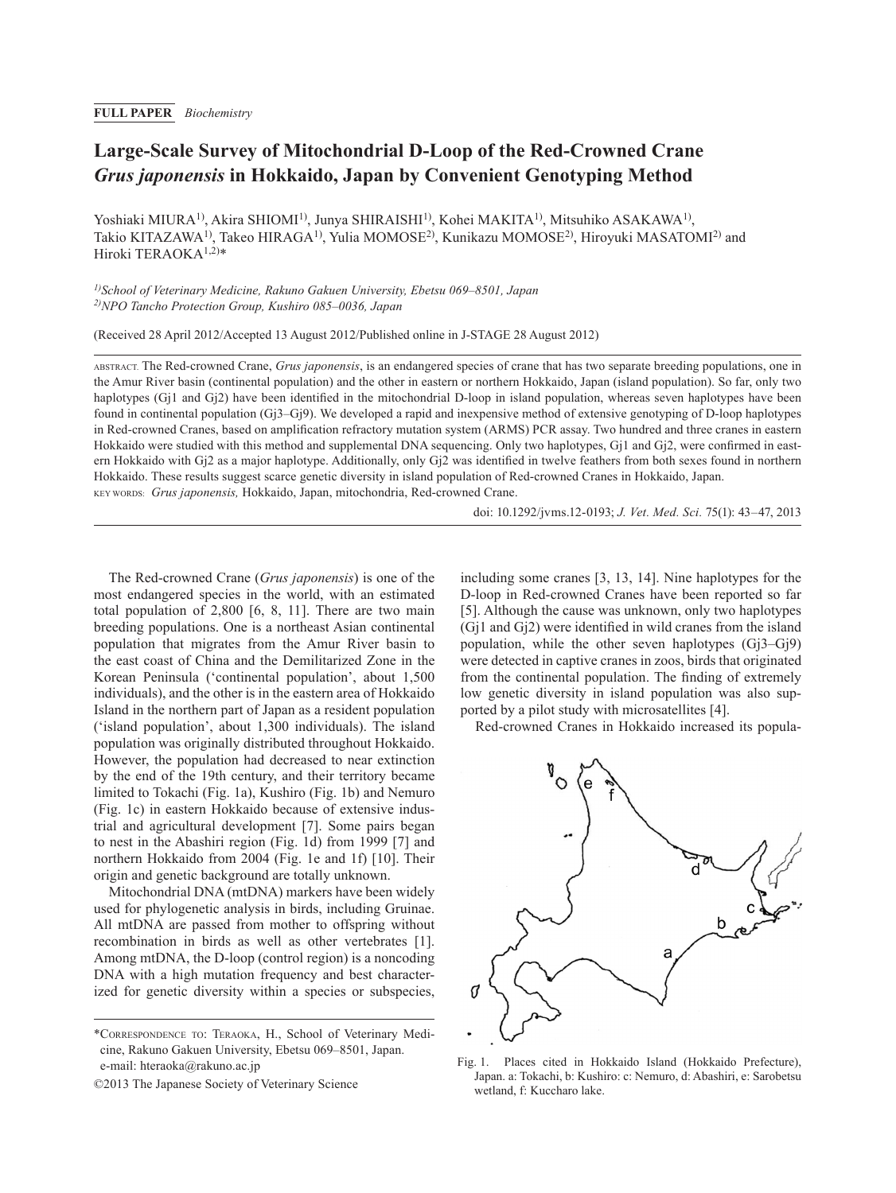# **Large-Scale Survey of Mitochondrial D-Loop of the Red-Crowned Crane**  *Grus japonensis* **in Hokkaido, Japan by Convenient Genotyping Method**

Yoshiaki MIURA<sup>1)</sup>, Akira SHIOMI<sup>1)</sup>, Junya SHIRAISHI<sup>1)</sup>, Kohei MAKITA<sup>1)</sup>, Mitsuhiko ASAKAWA<sup>1)</sup>, Takio KITAZAWA1), Takeo HIRAGA1), Yulia MOMOSE2), Kunikazu MOMOSE2), Hiroyuki MASATOMI2) and Hiroki TERAOKA1,2)\*

*1)School of Veterinary Medicine, Rakuno Gakuen University, Ebetsu 069–8501, Japan 2)NPO Tancho Protection Group, Kushiro 085–0036, Japan*

(Received 28 April 2012/Accepted 13 August 2012/Published online in J-STAGE 28 August 2012)

ABSTRACT. The Red-crowned Crane, *Grus japonensis*, is an endangered species of crane that has two separate breeding populations, one in the Amur River basin (continental population) and the other in eastern or northern Hokkaido, Japan (island population). So far, only two haplotypes (Gi1 and Gi2) have been identified in the mitochondrial D-loop in island population, whereas seven haplotypes have been found in continental population (Gj3–Gj9). We developed a rapid and inexpensive method of extensive genotyping of D-loop haplotypes in Red-crowned Cranes, based on amplification refractory mutation system (ARMS) PCR assay. Two hundred and three cranes in eastern Hokkaido were studied with this method and supplemental DNA sequencing. Only two haplotypes, Gj1 and Gj2, were confirmed in eastern Hokkaido with Gj2 as a major haplotype. Additionally, only Gj2 was identified in twelve feathers from both sexes found in northern Hokkaido. These results suggest scarce genetic diversity in island population of Red-crowned Cranes in Hokkaido, Japan. KEY WORDS: *Grus japonensis,* Hokkaido, Japan, mitochondria, Red-crowned Crane.

doi: 10.1292/jvms.12-0193; *J. Vet. Med. Sci.* 75(1): 43–47, 2013

The Red-crowned Crane (*Grus japonensis*) is one of the most endangered species in the world, with an estimated total population of 2,800 [[6, 8, 11](#page-4-0)]. There are two main breeding populations. One is a northeast Asian continental population that migrates from the Amur River basin to the east coast of China and the Demilitarized Zone in the Korean Peninsula ('continental population', about 1,500 individuals), and the other is in the eastern area of Hokkaido Island in the northern part of Japan as a resident population ('island population', about 1,300 individuals). The island population was originally distributed throughout Hokkaido. However, the population had decreased to near extinction by the end of the 19th century, and their territory became limited to Tokachi (Fig. 1a), Kushiro (Fig. 1b) and Nemuro (Fig. 1c) in eastern Hokkaido because of extensive industrial and agricultural development [[7\]](#page-4-1). Some pairs began to nest in the Abashiri region (Fig. 1d) from 1999 [\[7](#page-4-1)] and northern Hokkaido from 2004 (Fig. 1e and 1f) [\[10\]](#page-4-2). Their origin and genetic background are totally unknown.

Mitochondrial DNA (mtDNA) markers have been widely used for phylogenetic analysis in birds, including Gruinae. All mtDNA are passed from mother to offspring without recombination in birds as well as other vertebrates [[1\]](#page-4-3). Among mtDNA, the D-loop (control region) is a noncoding DNA with a high mutation frequency and best characterized for genetic diversity within a species or subspecies,

©2013 The Japanese Society of Veterinary Science

including some cranes [[3, 13, 14](#page-4-4)]. Nine haplotypes for the D-loop in Red-crowned Cranes have been reported so far [\[5](#page-4-5)]. Although the cause was unknown, only two haplotypes (Gj1 and Gj2) were identified in wild cranes from the island population, while the other seven haplotypes (Gj3–Gj9) were detected in captive cranes in zoos, birds that originated from the continental population. The finding of extremely low genetic diversity in island population was also supported by a pilot study with microsatellites [\[4\]](#page-4-6).

Red-crowned Cranes in Hokkaido increased its popula-



Fig. 1. Places cited in Hokkaido Island (Hokkaido Prefecture), Japan. a: Tokachi, b: Kushiro: c: Nemuro, d: Abashiri, e: Sarobetsu wetland, f: Kuccharo lake.

<sup>\*</sup>Correspondence to: Teraoka, H., School of Veterinary Medicine, Rakuno Gakuen University, Ebetsu 069–8501, Japan. e-mail: hteraoka@rakuno.ac.jp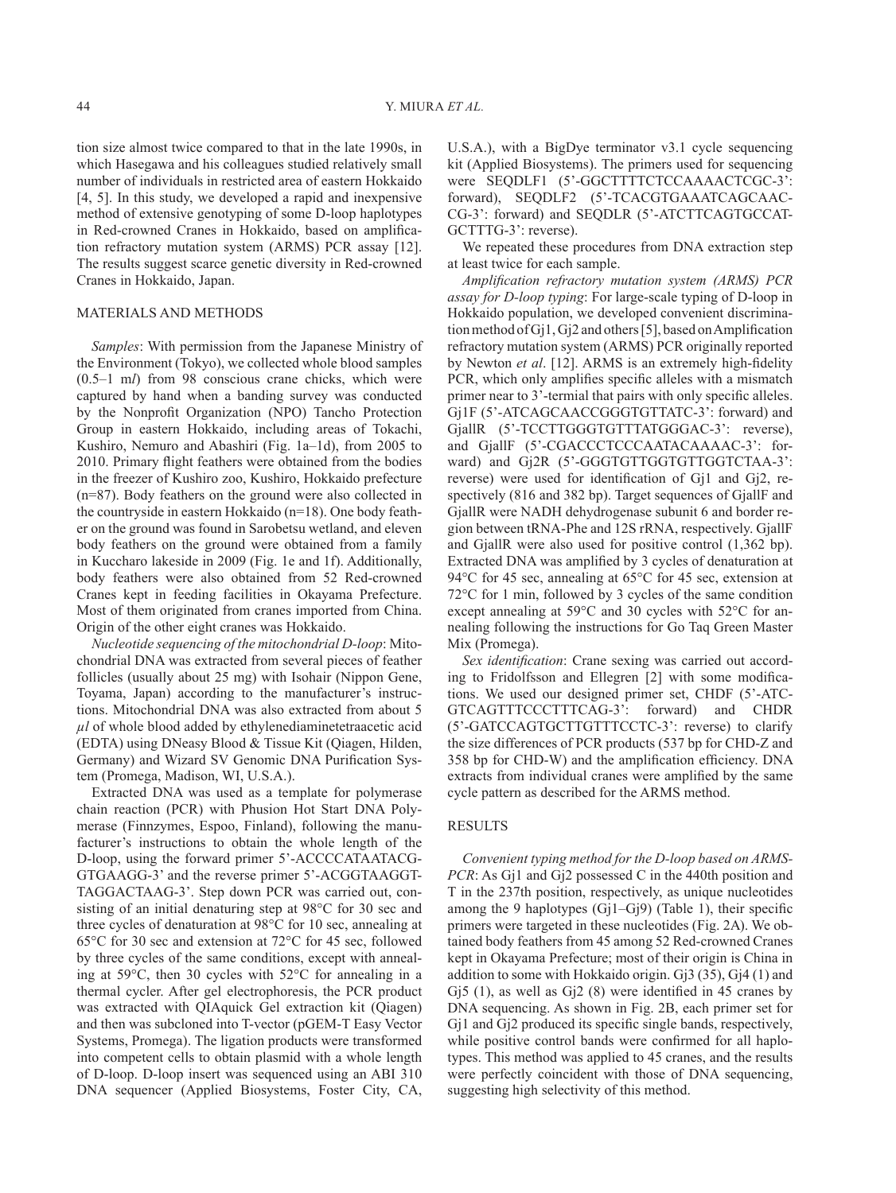tion size almost twice compared to that in the late 1990s, in which Hasegawa and his colleagues studied relatively small number of individuals in restricted area of eastern Hokkaido [\[4, 5](#page-4-6)]. In this study, we developed a rapid and inexpensive method of extensive genotyping of some D-loop haplotypes in Red-crowned Cranes in Hokkaido, based on amplification refractory mutation system (ARMS) PCR assay [[12](#page-4-7)]. The results suggest scarce genetic diversity in Red-crowned Cranes in Hokkaido, Japan.

### MATERIALS AND METHODS

*Samples*: With permission from the Japanese Ministry of the Environment (Tokyo), we collected whole blood samples (0.5–1 m*l*) from 98 conscious crane chicks, which were captured by hand when a banding survey was conducted by the Nonprofit Organization (NPO) Tancho Protection Group in eastern Hokkaido, including areas of Tokachi, Kushiro, Nemuro and Abashiri (Fig. 1a–1d), from 2005 to 2010. Primary flight feathers were obtained from the bodies in the freezer of Kushiro zoo, Kushiro, Hokkaido prefecture (n=87). Body feathers on the ground were also collected in the countryside in eastern Hokkaido (n=18). One body feather on the ground was found in Sarobetsu wetland, and eleven body feathers on the ground were obtained from a family in Kuccharo lakeside in 2009 (Fig. 1e and 1f). Additionally, body feathers were also obtained from 52 Red-crowned Cranes kept in feeding facilities in Okayama Prefecture. Most of them originated from cranes imported from China. Origin of the other eight cranes was Hokkaido.

*Nucleotide sequencing of the mitochondrial D-loop*: Mitochondrial DNA was extracted from several pieces of feather follicles (usually about 25 mg) with Isohair (Nippon Gene, Toyama, Japan) according to the manufacturer's instructions. Mitochondrial DNA was also extracted from about 5 *µl* of whole blood added by ethylenediaminetetraacetic acid (EDTA) using DNeasy Blood & Tissue Kit (Qiagen, Hilden, Germany) and Wizard SV Genomic DNA Purification System (Promega, Madison, WI, U.S.A.).

Extracted DNA was used as a template for polymerase chain reaction (PCR) with Phusion Hot Start DNA Polymerase (Finnzymes, Espoo, Finland), following the manufacturer's instructions to obtain the whole length of the D-loop, using the forward primer 5'-ACCCCATAATACG-GTGAAGG-3' and the reverse primer 5'-ACGGTAAGGT-TAGGACTAAG-3'. Step down PCR was carried out, consisting of an initial denaturing step at 98°C for 30 sec and three cycles of denaturation at 98°C for 10 sec, annealing at 65°C for 30 sec and extension at 72°C for 45 sec, followed by three cycles of the same conditions, except with annealing at 59°C, then 30 cycles with 52°C for annealing in a thermal cycler. After gel electrophoresis, the PCR product was extracted with QIAquick Gel extraction kit (Qiagen) and then was subcloned into T-vector (pGEM-T Easy Vector Systems, Promega). The ligation products were transformed into competent cells to obtain plasmid with a whole length of D-loop. D-loop insert was sequenced using an ABI 310 DNA sequencer (Applied Biosystems, Foster City, CA,

U.S.A.), with a BigDye terminator v3.1 cycle sequencing kit (Applied Biosystems). The primers used for sequencing were SEQDLF1 (5'-GGCTTTTCTCCAAAACTCGC-3': forward), SEQDLF2 (5'-TCACGTGAAATCAGCAAC-CG-3': forward) and SEQDLR (5'-ATCTTCAGTGCCAT-GCTTTG-3': reverse).

We repeated these procedures from DNA extraction step at least twice for each sample.

*Amplification refractory mutation system (ARMS) PCR assay for D-loop typing*: For large-scale typing of D-loop in Hokkaido population, we developed convenient discrimination method of Gj1, Gj2 and others [\[5](#page-4-5)], based on Amplification refractory mutation system (ARMS) PCR originally reported by Newton *et al*. [[12](#page-4-7)]. ARMS is an extremely high-fidelity PCR, which only amplifies specific alleles with a mismatch primer near to 3'-termial that pairs with only specific alleles. Gj1F (5'-ATCAGCAACCGGGTGTTATC-3': forward) and GjallR (5'-TCCTTGGGTGTTTATGGGAC-3': reverse), and GjallF (5'-CGACCCTCCCAATACAAAAC-3': forward) and Gj2R (5'-GGGTGTTGGTGTTGGTCTAA-3': reverse) were used for identification of Gj1 and Gj2, respectively (816 and 382 bp). Target sequences of GjallF and GjallR were NADH dehydrogenase subunit 6 and border region between tRNA-Phe and 12S rRNA, respectively. GjallF and GjallR were also used for positive control (1,362 bp). Extracted DNA was amplified by 3 cycles of denaturation at 94°C for 45 sec, annealing at 65°C for 45 sec, extension at 72°C for 1 min, followed by 3 cycles of the same condition except annealing at 59°C and 30 cycles with 52°C for annealing following the instructions for Go Taq Green Master Mix (Promega).

*Sex identification*: Crane sexing was carried out according to Fridolfsson and Ellegren [\[2](#page-4-8)] with some modifications. We used our designed primer set, CHDF (5'-ATC-GTCAGTTTCCCTTTCAG-3': forward) and CHDR (5'-GATCCAGTGCTTGTTTCCTC-3': reverse) to clarify the size differences of PCR products (537 bp for CHD-Z and 358 bp for CHD-W) and the amplification efficiency. DNA extracts from individual cranes were amplified by the same cycle pattern as described for the ARMS method.

### **RESULTS**

*Convenient typing method for the D-loop based on ARMS-PCR*: As G<sub>1</sub>1 and G<sub>1</sub>2 possessed C in the 440th position and T in the 237th position, respectively, as unique nucleotides among the 9 haplotypes  $(Gj1-Gj9)$  (Table 1), their specific primers were targeted in these nucleotides (Fig. 2A). We obtained body feathers from 45 among 52 Red-crowned Cranes kept in Okayama Prefecture; most of their origin is China in addition to some with Hokkaido origin. Gj3 (35), Gj4 (1) and Gj5 (1), as well as Gj2 (8) were identified in 45 cranes by DNA sequencing. As shown in Fig. 2B, each primer set for Gj1 and Gj2 produced its specific single bands, respectively, while positive control bands were confirmed for all haplotypes. This method was applied to 45 cranes, and the results were perfectly coincident with those of DNA sequencing, suggesting high selectivity of this method.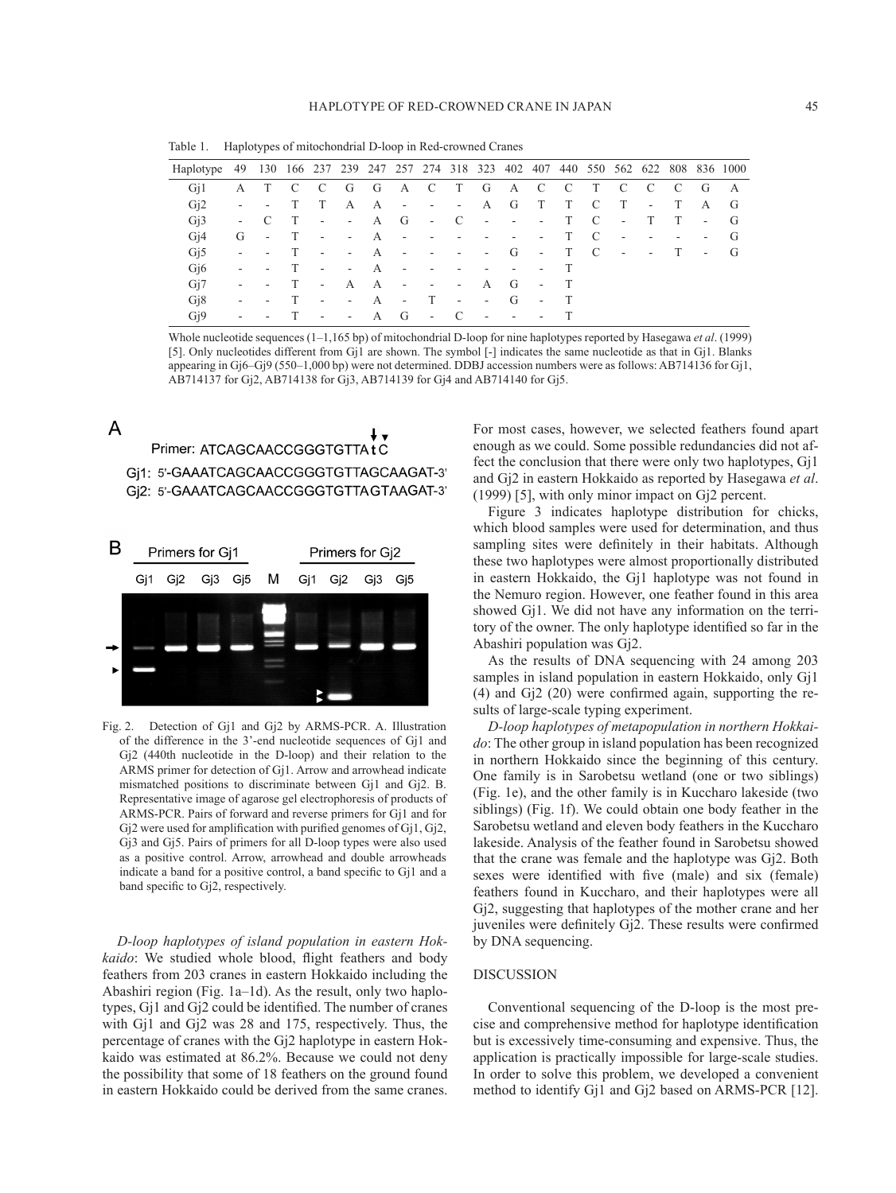Table 1. Haplotypes of mitochondrial D-loop in Red-crowned Cranes

| Haplotype 49 130 166 237 239 247 257 274 318 323 402 407 440 550 562 622 808 836 1000 |        |                          |              |                          |                      |       |                          |                         |                          |                          |                          |                          |              |                |                  |                          |     |                          |               |
|---------------------------------------------------------------------------------------|--------|--------------------------|--------------|--------------------------|----------------------|-------|--------------------------|-------------------------|--------------------------|--------------------------|--------------------------|--------------------------|--------------|----------------|------------------|--------------------------|-----|--------------------------|---------------|
| G <sub>i</sub> 1                                                                      | A      | T                        | $\mathbf{C}$ | $\mathbf{C}$             | G                    | G A C |                          |                         | T                        | G                        | A C                      |                          | $\mathbf{C}$ | T              | $\mathbf{C}$     | - C                      | - C | - G                      | A             |
| Gi2                                                                                   |        | $\sim$                   | T            | T                        | $\mathbf{A}$         | A     | $\sim$ 100 $\pm$         | $\sim 100$ m $^{-1}$    | - A G                    |                          |                          | T                        | T            | <sup>-</sup> C | T                | $\sim$                   | T   | A                        | G             |
| G <sub>i</sub> 3                                                                      | $\sim$ | C.                       | T            | $\sim$ $-$               | $\sim 100$ m $^{-1}$ | A G   |                          | $\sim 100$              | $\overline{C}$           | $\sim 100$               | $\sim 100$               | $\sim 100$ m $^{-1}$     | T            | <sup>-</sup> C | $\sim$ 100 $\pm$ | T                        | T   |                          | $-$ G         |
| Gi4                                                                                   | G      | $\sim$                   | T            | $\sim$ $-$               | $\sim 100$           | A     | $\sim$                   | $\sim$ 100 $\pm$        | $\overline{\phantom{a}}$ | $\overline{\phantom{a}}$ | $\overline{\phantom{a}}$ | $\overline{\phantom{a}}$ | T            | - C            | $\sim$           | $\overline{\phantom{a}}$ | ٠   | $\overline{\phantom{a}}$ | $\mathbf{G}$  |
| Gi <sub>5</sub>                                                                       | $\sim$ | $\sim$                   | $\top$       | $\sim$                   | $\sim 100$           | A     | $\sim$                   | $\sim 100$ km s $^{-1}$ | $\sim$                   | $-G$                     |                          | $-$ T C                  |              |                | $\sim$ $-$       | $\sim 100$               | T   | $\sim$                   | $\mathcal{G}$ |
| G <sub>i</sub> <sup>6</sup>                                                           |        | $\overline{\phantom{a}}$ | $\top$       | $\overline{\phantom{a}}$ | $\sim$               | A     | $\overline{\phantom{a}}$ |                         |                          | $\overline{\phantom{a}}$ | $\overline{\phantom{a}}$ |                          |              |                |                  |                          |     |                          |               |
| Gi7                                                                                   |        | $\sim$                   | T            | $\sim$ $-$               | A                    | A     | $\sim$ $-$               | $\sim$                  | $\sim$                   | A                        | $-G$                     | $\sim 100$               | T            |                |                  |                          |     |                          |               |
| G <sub>18</sub>                                                                       |        | ٠                        | T            | $\overline{\phantom{a}}$ | $\sim$               | A     | $\sim$                   | T                       | $\blacksquare$           | $-G$                     |                          | $\sim$                   | T            |                |                  |                          |     |                          |               |
| G <sub>i</sub> 9                                                                      | $\sim$ | ۰                        |              | $\sim$                   | $\sim$ $-$           | A G   |                          | $\sim$ $\sim$ C         |                          | $\sim$ $-$               | $\sim$                   | $\sim 100$               |              |                |                  |                          |     |                          |               |
|                                                                                       |        |                          |              |                          |                      |       |                          |                         |                          |                          |                          |                          |              |                |                  |                          |     |                          |               |

Whole nucleotide sequences (1–1,165 bp) of mitochondrial D-loop for nine haplotypes reported by Hasegawa *et al*. (1999) [[5\]](#page-4-6). Only nucleotides different from Gj1 are shown. The symbol [-] indicates the same nucleotide as that in Gj1. Blanks appearing in Gj6–Gj9 (550–1,000 bp) were not determined. DDBJ accession numbers were as follows: AB714136 for Gj1, AB714137 for Gj2, AB714138 for Gj3, AB714139 for Gj4 and AB714140 for Gj5.

## $\overline{A}$ Primer: ATCAGCAACCGGGTGTTAtC Gi1: 5'-GAAATCAGCAACCGGGTGTTAGCAAGAT-3' Gj2: 5'-GAAATCAGCAACCGGGTGTTAGTAAGAT-3'



Fig. 2. Detection of Gj1 and Gj2 by ARMS-PCR. A. Illustration of the difference in the 3'-end nucleotide sequences of Gj1 and Gj2 (440th nucleotide in the D-loop) and their relation to the ARMS primer for detection of Gj1. Arrow and arrowhead indicate mismatched positions to discriminate between Gj1 and Gj2. B. Representative image of agarose gel electrophoresis of products of ARMS-PCR. Pairs of forward and reverse primers for Gj1 and for Gj2 were used for amplification with purified genomes of Gj1, Gj2, Gj3 and Gj5. Pairs of primers for all D-loop types were also used as a positive control. Arrow, arrowhead and double arrowheads indicate a band for a positive control, a band specific to Gj1 and a band specific to Gj2, respectively.

*D-loop haplotypes of island population in eastern Hokkaido*: We studied whole blood, flight feathers and body feathers from 203 cranes in eastern Hokkaido including the Abashiri region (Fig. 1a–1d). As the result, only two haplotypes, Gj1 and Gj2 could be identified. The number of cranes with Gj1 and Gj2 was 28 and 175, respectively. Thus, the percentage of cranes with the Gj2 haplotype in eastern Hokkaido was estimated at 86.2%. Because we could not deny the possibility that some of 18 feathers on the ground found in eastern Hokkaido could be derived from the same cranes.

For most cases, however, we selected feathers found apart enough as we could. Some possible redundancies did not affect the conclusion that there were only two haplotypes, Gj1 and Gj2 in eastern Hokkaido as reported by Hasegawa *et al*. (1999) [[5](#page-4-5)], with only minor impact on Gj2 percent.

Figure 3 indicates haplotype distribution for chicks, which blood samples were used for determination, and thus sampling sites were definitely in their habitats. Although these two haplotypes were almost proportionally distributed in eastern Hokkaido, the Gj1 haplotype was not found in the Nemuro region. However, one feather found in this area showed Gj1. We did not have any information on the territory of the owner. The only haplotype identified so far in the Abashiri population was Gj2.

As the results of DNA sequencing with 24 among 203 samples in island population in eastern Hokkaido, only Gj1 (4) and Gj2 (20) were confirmed again, supporting the results of large-scale typing experiment.

*D-loop haplotypes of metapopulation in northern Hokkaido*: The other group in island population has been recognized in northern Hokkaido since the beginning of this century. One family is in Sarobetsu wetland (one or two siblings) (Fig. 1e), and the other family is in Kuccharo lakeside (two siblings) (Fig. 1f). We could obtain one body feather in the Sarobetsu wetland and eleven body feathers in the Kuccharo lakeside. Analysis of the feather found in Sarobetsu showed that the crane was female and the haplotype was Gj2. Both sexes were identified with five (male) and six (female) feathers found in Kuccharo, and their haplotypes were all Gj2, suggesting that haplotypes of the mother crane and her juveniles were definitely Gj2. These results were confirmed by DNA sequencing.

### DISCUSSION

Conventional sequencing of the D-loop is the most precise and comprehensive method for haplotype identification but is excessively time-consuming and expensive. Thus, the application is practically impossible for large-scale studies. In order to solve this problem, we developed a convenient method to identify Gj1 and Gj2 based on ARMS-PCR [\[12\]](#page-4-7).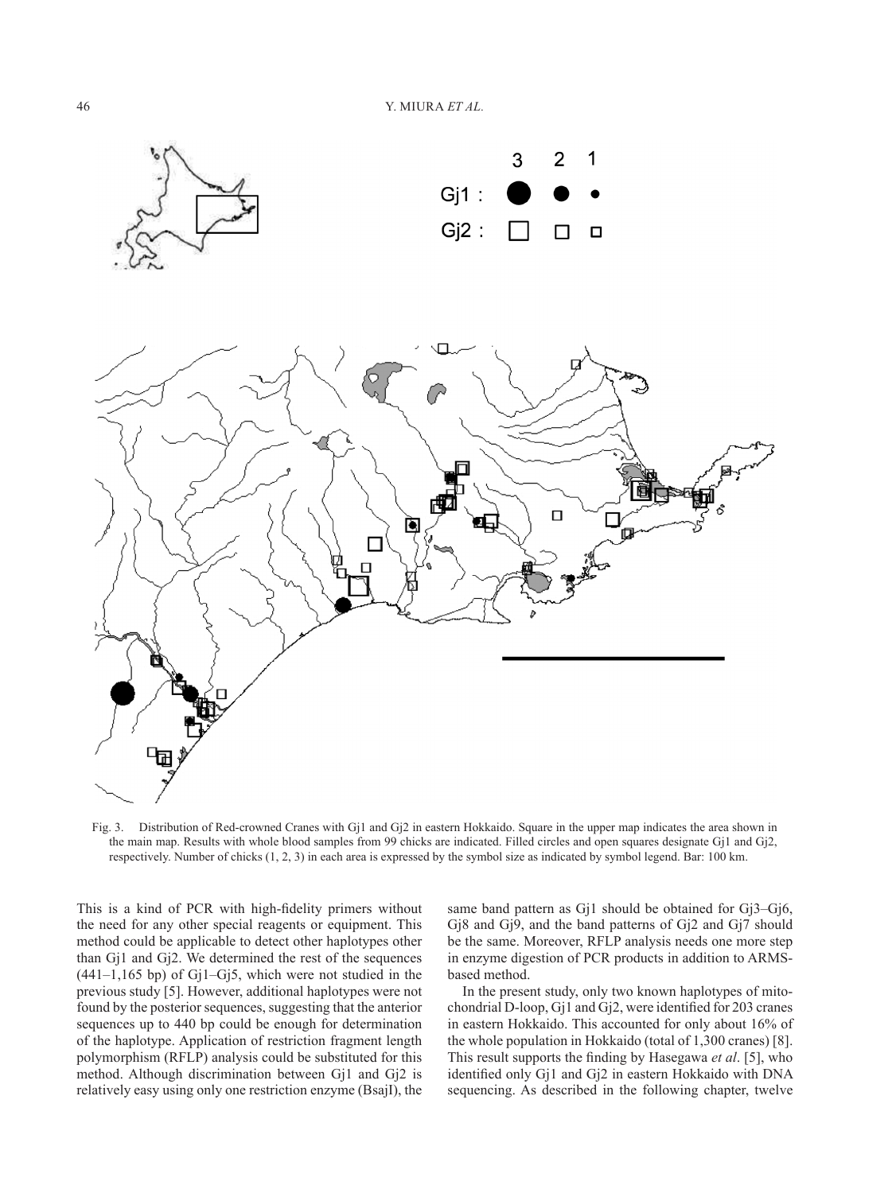



Fig. 3. Distribution of Red-crowned Cranes with Gj1 and Gj2 in eastern Hokkaido. Square in the upper map indicates the area shown in the main map. Results with whole blood samples from 99 chicks are indicated. Filled circles and open squares designate Gj1 and Gj2, respectively. Number of chicks (1, 2, 3) in each area is expressed by the symbol size as indicated by symbol legend. Bar: 100 km.

This is a kind of PCR with high-fidelity primers without the need for any other special reagents or equipment. This method could be applicable to detect other haplotypes other than Gj1 and Gj2. We determined the rest of the sequences  $(441-1,165$  bp) of G $i1-Gi5$ , which were not studied in the previous study [\[5\]](#page-4-5). However, additional haplotypes were not found by the posterior sequences, suggesting that the anterior sequences up to 440 bp could be enough for determination of the haplotype. Application of restriction fragment length polymorphism (RFLP) analysis could be substituted for this method. Although discrimination between Gj1 and Gj2 is relatively easy using only one restriction enzyme (BsajI), the

same band pattern as Gj1 should be obtained for Gj3–Gj6, Gj8 and Gj9, and the band patterns of Gj2 and Gj7 should be the same. Moreover, RFLP analysis needs one more step in enzyme digestion of PCR products in addition to ARMSbased method.

In the present study, only two known haplotypes of mitochondrial D-loop, Gj1 and Gj2, were identified for 203 cranes in eastern Hokkaido. This accounted for only about 16% of the whole population in Hokkaido (total of 1,300 cranes) [[8\]](#page-4-9). This result supports the finding by Hasegawa *et al*. [[5\]](#page-4-5), who identified only Gj1 and Gj2 in eastern Hokkaido with DNA sequencing. As described in the following chapter, twelve